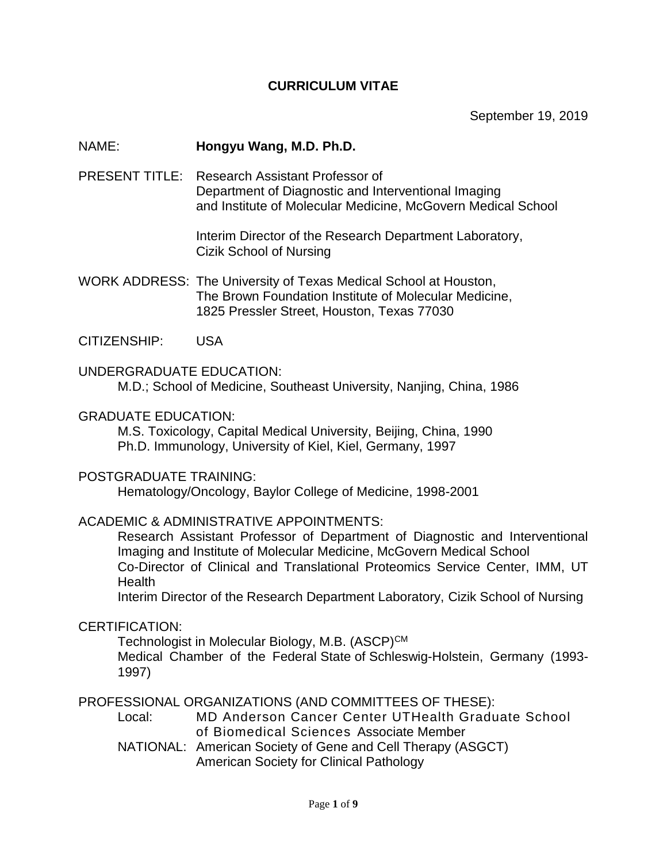## **CURRICULUM VITAE**

September 19, 2019

### NAME: **Hongyu Wang, M.D. Ph.D.**

PRESENT TITLE: Research Assistant Professor of Department of Diagnostic and Interventional Imaging and Institute of Molecular Medicine, McGovern Medical School

> Interim Director of the Research Department Laboratory, Cizik School of Nursing

WORK ADDRESS: The University of Texas Medical School at Houston, The Brown Foundation Institute of Molecular Medicine, 1825 Pressler Street, Houston, Texas 77030

CITIZENSHIP: USA

UNDERGRADUATE EDUCATION: M.D.; School of Medicine, Southeast University, Nanjing, China, 1986

#### GRADUATE EDUCATION:

M.S. Toxicology, Capital Medical University, Beijing, China, 1990 Ph.D. Immunology, University of Kiel, Kiel, Germany, 1997

### POSTGRADUATE TRAINING:

Hematology/Oncology, Baylor College of Medicine, 1998-2001

### ACADEMIC & ADMINISTRATIVE APPOINTMENTS:

Research Assistant Professor of Department of Diagnostic and Interventional Imaging and Institute of Molecular Medicine, McGovern Medical School Co-Director of Clinical and Translational Proteomics Service Center, IMM, UT **Health** 

Interim Director of the Research Department Laboratory, Cizik School of Nursing

### CERTIFICATION:

Technologist in Molecular Biology, M.B. (ASCP)<sup>CM</sup> Medical Chamber of the Federal State of Schleswig-Holstein, Germany (1993- 1997)

PROFESSIONAL ORGANIZATIONS (AND COMMITTEES OF THESE):

Local: MD Anderson Cancer Center UTHealth Graduate School of Biomedical Sciences Associate Member

NATIONAL: American Society of Gene and Cell Therapy (ASGCT) American Society for Clinical Pathology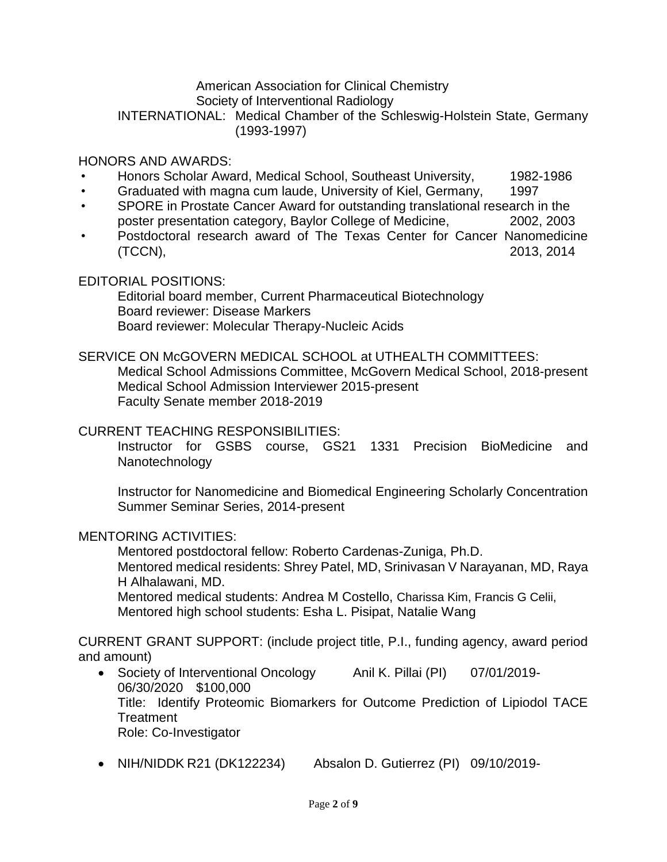### American Association for Clinical Chemistry Society of Interventional Radiology INTERNATIONAL: Medical Chamber of the Schleswig-Holstein State, Germany (1993-1997)

## HONORS AND AWARDS:

- Honors Scholar Award, Medical School, Southeast University, 1982-1986
- Graduated with magna cum laude, University of Kiel, Germany, 1997
- SPORE in Prostate Cancer Award for outstanding translational research in the poster presentation category, Baylor College of Medicine, 2002, 2003
- Postdoctoral research award of The Texas Center for Cancer Nanomedicine (TCCN), 2013, 2014

## EDITORIAL POSITIONS:

Editorial board member, Current Pharmaceutical Biotechnology Board reviewer: Disease Markers Board reviewer: Molecular Therapy-Nucleic Acids

# SERVICE ON McGOVERN MEDICAL SCHOOL at UTHEALTH COMMITTEES:

Medical School Admissions Committee, McGovern Medical School, 2018-present Medical School Admission Interviewer 2015-present Faculty Senate member 2018-2019

### CURRENT TEACHING RESPONSIBILITIES:

Instructor for GSBS course, GS21 1331 Precision BioMedicine and Nanotechnology

Instructor for Nanomedicine and Biomedical Engineering Scholarly Concentration Summer Seminar Series, 2014-present

### MENTORING ACTIVITIES:

Mentored postdoctoral fellow: Roberto Cardenas-Zuniga, Ph.D. Mentored medical residents: Shrey Patel, MD, Srinivasan V Narayanan, MD, Raya H Alhalawani, MD.

Mentored medical students: Andrea M Costello, Charissa Kim, Francis G Celii, Mentored high school students: Esha L. Pisipat, Natalie Wang

CURRENT GRANT SUPPORT: (include project title, P.I., funding agency, award period and amount)

- Society of Interventional Oncology Anil K. Pillai (PI) 07/01/2019-06/30/2020 \$100,000 Title: Identify Proteomic Biomarkers for Outcome Prediction of Lipiodol TACE **Treatment** Role: Co-Investigator
- NIH/NIDDK R21 (DK122234) Absalon D. Gutierrez (PI) 09/10/2019-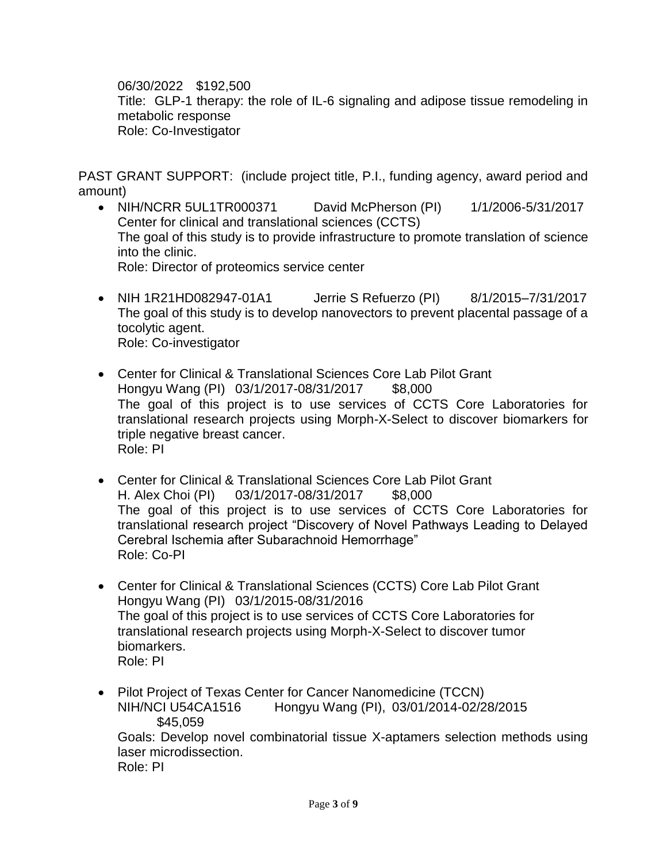06/30/2022 \$192,500 Title: GLP-1 therapy: the role of IL-6 signaling and adipose tissue remodeling in metabolic response Role: Co-Investigator

PAST GRANT SUPPORT: (include project title, P.I., funding agency, award period and amount)

- NIH/NCRR 5UL1TR000371 David McPherson (PI) 1/1/2006-5/31/2017 Center for clinical and translational sciences (CCTS) The goal of this study is to provide infrastructure to promote translation of science into the clinic. Role: Director of proteomics service center
- NIH 1R21HD082947-01A1 Jerrie S Refuerzo (PI) 8/1/2015–7/31/2017 The goal of this study is to develop nanovectors to prevent placental passage of a tocolytic agent. Role: Co-investigator
- Center for Clinical & Translational Sciences Core Lab Pilot Grant Hongyu Wang (PI) 03/1/2017-08/31/2017 \$8,000 The goal of this project is to use services of CCTS Core Laboratories for translational research projects using Morph-X-Select to discover biomarkers for triple negative breast cancer. Role: PI
- Center for Clinical & Translational Sciences Core Lab Pilot Grant H. Alex Choi (PI) 03/1/2017-08/31/2017 \$8,000 The goal of this project is to use services of CCTS Core Laboratories for translational research project "Discovery of Novel Pathways Leading to Delayed Cerebral Ischemia after Subarachnoid Hemorrhage" Role: Co-PI
- Center for Clinical & Translational Sciences (CCTS) Core Lab Pilot Grant Hongyu Wang (PI) 03/1/2015-08/31/2016 The goal of this project is to use services of CCTS Core Laboratories for translational research projects using Morph-X-Select to discover tumor biomarkers. Role: PI
- Pilot Project of Texas Center for Cancer Nanomedicine (TCCN) NIH/NCI U54CA1516 Hongyu Wang (PI), 03/01/2014-02/28/2015 \$45,059 Goals: Develop novel combinatorial tissue X-aptamers selection methods using laser microdissection. Role: PI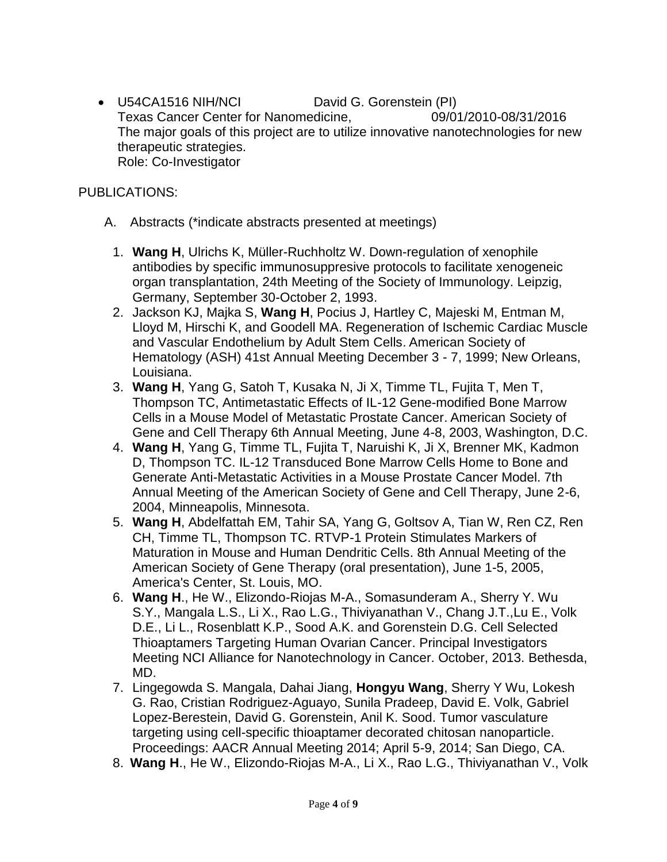U54CA1516 NIH/NCI David G. Gorenstein (PI) Texas Cancer Center for Nanomedicine, 09/01/2010-08/31/2016 The major goals of this project are to utilize innovative nanotechnologies for new therapeutic strategies. Role: Co-Investigator

# PUBLICATIONS:

- A. Abstracts (\*indicate abstracts presented at meetings)
	- 1. **Wang H**, Ulrichs K, Müller-Ruchholtz W. Down-regulation of xenophile antibodies by specific immunosuppresive protocols to facilitate xenogeneic organ transplantation, 24th Meeting of the Society of Immunology. Leipzig, Germany, September 30-October 2, 1993.
	- 2. Jackson KJ, Majka S, **Wang H**, Pocius J, Hartley C, Majeski M, Entman M, Lloyd M, Hirschi K, and Goodell MA. Regeneration of Ischemic Cardiac Muscle and Vascular Endothelium by Adult Stem Cells. American Society of Hematology (ASH) 41st Annual Meeting December 3 - 7, 1999; New Orleans, Louisiana.
	- 3. **Wang H**, Yang G, Satoh T, Kusaka N, Ji X, Timme TL, Fujita T, Men T, Thompson TC, Antimetastatic Effects of IL-12 Gene-modified Bone Marrow Cells in a Mouse Model of Metastatic Prostate Cancer. American Society of Gene and Cell Therapy 6th Annual Meeting, June 4-8, 2003, Washington, D.C.
	- 4. **Wang H**, Yang G, Timme TL, Fujita T, Naruishi K, Ji X, Brenner MK, Kadmon D, Thompson TC. IL-12 Transduced Bone Marrow Cells Home to Bone and Generate Anti-Metastatic Activities in a Mouse Prostate Cancer Model. 7th Annual Meeting of the American Society of Gene and Cell Therapy, June 2-6, 2004, Minneapolis, Minnesota.
	- 5. **Wang H**, Abdelfattah EM, Tahir SA, Yang G, Goltsov A, Tian W, Ren CZ, Ren CH, Timme TL, Thompson TC. RTVP-1 Protein Stimulates Markers of Maturation in Mouse and Human Dendritic Cells. 8th Annual Meeting of the American Society of Gene Therapy (oral presentation), June 1-5, 2005, America's Center, St. Louis, MO.
	- 6. **Wang H**., He W., Elizondo-Riojas M-A., Somasunderam A., Sherry Y. Wu S.Y., Mangala L.S., Li X., Rao L.G., Thiviyanathan V., Chang J.T.,Lu E., Volk D.E., Li L., Rosenblatt K.P., Sood A.K. and Gorenstein D.G. Cell Selected Thioaptamers Targeting Human Ovarian Cancer. Principal Investigators Meeting NCI Alliance for Nanotechnology in Cancer. October, 2013. Bethesda, MD.
	- 7. Lingegowda S. Mangala, Dahai Jiang, **Hongyu Wang**, Sherry Y Wu, Lokesh G. Rao, Cristian Rodriguez-Aguayo, Sunila Pradeep, David E. Volk, Gabriel Lopez-Berestein, David G. Gorenstein, Anil K. Sood. Tumor vasculature targeting using cell-specific thioaptamer decorated chitosan nanoparticle. Proceedings: AACR Annual Meeting 2014; April 5-9, 2014; San Diego, CA.
	- 8. **Wang H**., He W., Elizondo-Riojas M-A., Li X., Rao L.G., Thiviyanathan V., Volk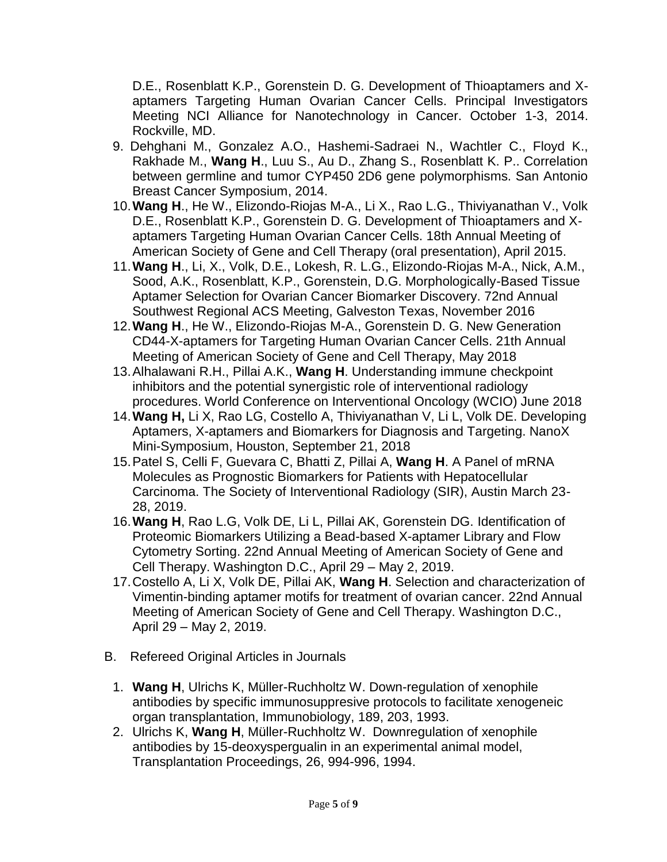D.E., Rosenblatt K.P., Gorenstein D. G. Development of Thioaptamers and Xaptamers Targeting Human Ovarian Cancer Cells. Principal Investigators Meeting NCI Alliance for Nanotechnology in Cancer. October 1-3, 2014. Rockville, MD.

- 9. Dehghani M., Gonzalez A.O., Hashemi-Sadraei N., Wachtler C., Floyd K., Rakhade M., **Wang H**., Luu S., Au D., Zhang S., Rosenblatt K. P.. Correlation between germline and tumor CYP450 2D6 gene polymorphisms. San Antonio Breast Cancer Symposium, 2014.
- 10.**Wang H**., He W., Elizondo-Riojas M-A., Li X., Rao L.G., Thiviyanathan V., Volk D.E., Rosenblatt K.P., Gorenstein D. G. Development of Thioaptamers and Xaptamers Targeting Human Ovarian Cancer Cells. 18th Annual Meeting of American Society of Gene and Cell Therapy (oral presentation), April 2015.
- 11.**Wang H**., Li, X., Volk, D.E., Lokesh, R. L.G., Elizondo-Riojas M-A., Nick, A.M., Sood, A.K., Rosenblatt, K.P., Gorenstein, D.G. Morphologically-Based Tissue Aptamer Selection for Ovarian Cancer Biomarker Discovery. 72nd Annual Southwest Regional ACS Meeting, Galveston Texas, November 2016
- 12.**Wang H**., He W., Elizondo-Riojas M-A., Gorenstein D. G. New Generation CD44-X-aptamers for Targeting Human Ovarian Cancer Cells. 21th Annual Meeting of American Society of Gene and Cell Therapy, May 2018
- 13.Alhalawani R.H., Pillai A.K., **Wang H**. Understanding immune checkpoint inhibitors and the potential synergistic role of interventional radiology procedures. World Conference on Interventional Oncology (WCIO) June 2018
- 14.**Wang H,** Li X, Rao LG, Costello A, Thiviyanathan V, Li L, Volk DE. Developing Aptamers, X-aptamers and Biomarkers for Diagnosis and Targeting. NanoX Mini-Symposium, Houston, September 21, 2018
- 15.Patel S, Celli F, Guevara C, Bhatti Z, Pillai A, **Wang H**. A Panel of mRNA Molecules as Prognostic Biomarkers for Patients with Hepatocellular Carcinoma. The Society of Interventional Radiology (SIR), Austin March 23- 28, 2019.
- 16.**Wang H**, Rao L.G, Volk DE, Li L, Pillai AK, Gorenstein DG. Identification of Proteomic Biomarkers Utilizing a Bead-based X-aptamer Library and Flow Cytometry Sorting. 22nd Annual Meeting of American Society of Gene and Cell Therapy. Washington D.C., April 29 – May 2, 2019.
- 17.Costello A, Li X, Volk DE, Pillai AK, **Wang H**. Selection and characterization of Vimentin-binding aptamer motifs for treatment of ovarian cancer. 22nd Annual Meeting of American Society of Gene and Cell Therapy. Washington D.C., April 29 – May 2, 2019.
- B. Refereed Original Articles in Journals
	- 1. **Wang H**, Ulrichs K, Müller-Ruchholtz W. Down-regulation of xenophile antibodies by specific immunosuppresive protocols to facilitate xenogeneic organ transplantation, Immunobiology, 189, 203, 1993.
	- 2. Ulrichs K, **Wang H**, Müller-Ruchholtz W. Downregulation of xenophile antibodies by 15-deoxyspergualin in an experimental animal model, Transplantation Proceedings, 26, 994-996, 1994.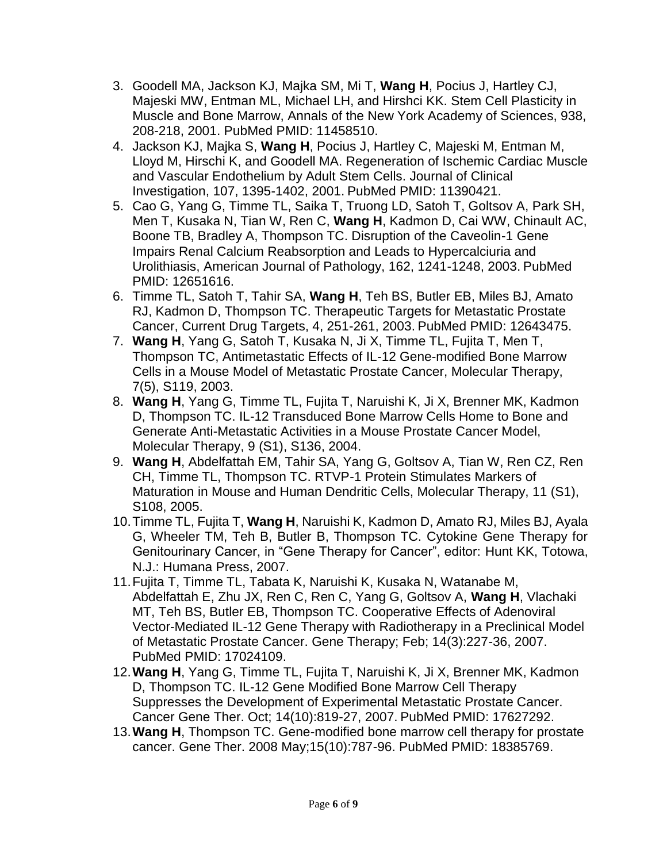- 3. Goodell MA, Jackson KJ, Majka SM, Mi T, **Wang H**, Pocius J, Hartley CJ, Majeski MW, Entman ML, Michael LH, and Hirshci KK. Stem Cell Plasticity in Muscle and Bone Marrow, Annals of the New York Academy of Sciences, 938, 208-218, 2001. PubMed PMID: 11458510.
- 4. Jackson KJ, Majka S, **Wang H**, Pocius J, Hartley C, Majeski M, Entman M, Lloyd M, Hirschi K, and Goodell MA. Regeneration of Ischemic Cardiac Muscle and Vascular Endothelium by Adult Stem Cells. Journal of Clinical Investigation, 107, 1395-1402, 2001. PubMed PMID: 11390421.
- 5. Cao G, Yang G, Timme TL, Saika T, Truong LD, Satoh T, Goltsov A, Park SH, Men T, Kusaka N, Tian W, Ren C, **Wang H**, Kadmon D, Cai WW, Chinault AC, Boone TB, Bradley A, Thompson TC. Disruption of the Caveolin-1 Gene Impairs Renal Calcium Reabsorption and Leads to Hypercalciuria and Urolithiasis, American Journal of Pathology, 162, 1241-1248, 2003. PubMed PMID: 12651616.
- 6. Timme TL, Satoh T, Tahir SA, **Wang H**, Teh BS, Butler EB, Miles BJ, Amato RJ, Kadmon D, Thompson TC. Therapeutic Targets for Metastatic Prostate Cancer, Current Drug Targets, 4, 251-261, 2003. PubMed PMID: 12643475.
- 7. **Wang H**, Yang G, Satoh T, Kusaka N, Ji X, Timme TL, Fujita T, Men T, Thompson TC, Antimetastatic Effects of IL-12 Gene-modified Bone Marrow Cells in a Mouse Model of Metastatic Prostate Cancer, Molecular Therapy, 7(5), S119, 2003.
- 8. **Wang H**, Yang G, Timme TL, Fujita T, Naruishi K, Ji X, Brenner MK, Kadmon D, Thompson TC. IL-12 Transduced Bone Marrow Cells Home to Bone and Generate Anti-Metastatic Activities in a Mouse Prostate Cancer Model, Molecular Therapy, 9 (S1), S136, 2004.
- 9. **Wang H**, Abdelfattah EM, Tahir SA, Yang G, Goltsov A, Tian W, Ren CZ, Ren CH, Timme TL, Thompson TC. RTVP-1 Protein Stimulates Markers of Maturation in Mouse and Human Dendritic Cells, Molecular Therapy, 11 (S1), S108, 2005.
- 10.Timme TL, Fujita T, **Wang H**, Naruishi K, Kadmon D, Amato RJ, Miles BJ, Ayala G, Wheeler TM, Teh B, Butler B, Thompson TC. Cytokine Gene Therapy for Genitourinary Cancer, in "Gene Therapy for Cancer", editor: Hunt KK, Totowa, N.J.: Humana Press, 2007.
- 11.Fujita T, Timme TL, Tabata K, Naruishi K, Kusaka N, Watanabe M, Abdelfattah E, Zhu JX, Ren C, Ren C, Yang G, Goltsov A, **Wang H**, Vlachaki MT, Teh BS, Butler EB, Thompson TC. Cooperative Effects of Adenoviral Vector-Mediated IL-12 Gene Therapy with Radiotherapy in a Preclinical Model of Metastatic Prostate Cancer. Gene Therapy; Feb; 14(3):227-36, 2007. PubMed PMID: 17024109.
- 12.**Wang H**, Yang G, Timme TL, Fujita T, Naruishi K, Ji X, Brenner MK, Kadmon D, Thompson TC. IL-12 Gene Modified Bone Marrow Cell Therapy Suppresses the Development of Experimental Metastatic Prostate Cancer. Cancer Gene Ther. Oct; 14(10):819-27, 2007. PubMed PMID: 17627292.
- 13.**Wang H**, Thompson TC. Gene-modified bone marrow cell therapy for prostate cancer. Gene Ther. 2008 May;15(10):787-96. PubMed PMID: 18385769.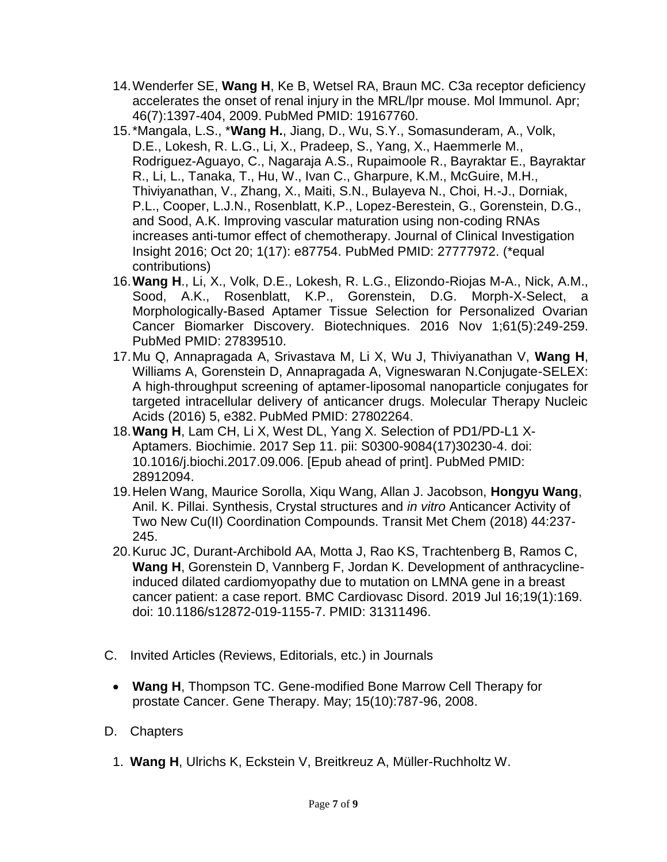- 14.Wenderfer SE, **Wang H**, Ke B, Wetsel RA, Braun MC. C3a receptor deficiency accelerates the onset of renal injury in the MRL/lpr mouse. Mol Immunol. Apr; 46(7):1397-404, 2009. PubMed PMID: 19167760.
- 15.\*Mangala, L.S., \***Wang H.**, Jiang, D., Wu, S.Y., Somasunderam, A., Volk, D.E., Lokesh, R. L.G., Li, X., Pradeep, S., Yang, X., Haemmerle M., Rodriguez-Aguayo, C., Nagaraja A.S., Rupaimoole R., Bayraktar E., Bayraktar R., Li, L., Tanaka, T., Hu, W., Ivan C., Gharpure, K.M., McGuire, M.H., Thiviyanathan, V., Zhang, X., Maiti, S.N., Bulayeva N., Choi, H.-J., Dorniak, P.L., Cooper, L.J.N., Rosenblatt, K.P., Lopez-Berestein, G., Gorenstein, D.G., and Sood, A.K. Improving vascular maturation using non-coding RNAs increases anti-tumor effect of chemotherapy. Journal of Clinical Investigation Insight 2016; Oct 20; 1(17): e87754. PubMed PMID: 27777972. (\*equal contributions)
- 16.**Wang H**., Li, X., Volk, D.E., Lokesh, R. L.G., Elizondo-Riojas M-A., Nick, A.M., Sood, A.K., Rosenblatt, K.P., Gorenstein, D.G. Morph-X-Select, a Morphologically-Based Aptamer Tissue Selection for Personalized Ovarian Cancer Biomarker Discovery. Biotechniques. 2016 Nov 1;61(5):249-259. PubMed PMID: 27839510.
- 17.Mu Q, Annapragada A, Srivastava M, Li X, Wu J, Thiviyanathan V, **Wang H**, Williams A, Gorenstein D, Annapragada A, Vigneswaran N.Conjugate-SELEX: A high-throughput screening of aptamer-liposomal nanoparticle conjugates for targeted intracellular delivery of anticancer drugs. Molecular Therapy Nucleic Acids (2016) 5, e382. PubMed PMID: 27802264.
- 18.**Wang H**, Lam CH, Li X, West DL, Yang X. [Selection of PD1/PD-L1 X-](https://www.ncbi.nlm.nih.gov/pubmed/28912094)[Aptamers.](https://www.ncbi.nlm.nih.gov/pubmed/28912094) Biochimie. 2017 Sep 11. pii: S0300-9084(17)30230-4. doi: 10.1016/j.biochi.2017.09.006. [Epub ahead of print]. PubMed PMID: 28912094.
- 19.Helen Wang, Maurice Sorolla, Xiqu Wang, Allan J. Jacobson, **Hongyu Wang**, Anil. K. Pillai. Synthesis, Crystal structures and *in vitro* Anticancer Activity of Two New Cu(II) Coordination Compounds. Transit Met Chem (2018) 44:237- 245.
- 20.Kuruc JC, Durant-Archibold AA, Motta J, Rao KS, Trachtenberg B, Ramos C, **Wang H**, Gorenstein D, Vannberg F, Jordan K. Development of anthracyclineinduced dilated cardiomyopathy due to mutation on LMNA gene in a breast cancer patient: a case report. BMC Cardiovasc Disord. 2019 Jul 16;19(1):169. doi: 10.1186/s12872-019-1155-7. PMID: 31311496.
- C. Invited Articles (Reviews, Editorials, etc.) in Journals
	- **Wang H**, Thompson TC. Gene-modified Bone Marrow Cell Therapy for prostate Cancer. Gene Therapy. May; 15(10):787-96, 2008.
- D. Chapters
	- 1. **Wang H**, Ulrichs K, Eckstein V, Breitkreuz A, Müller-Ruchholtz W.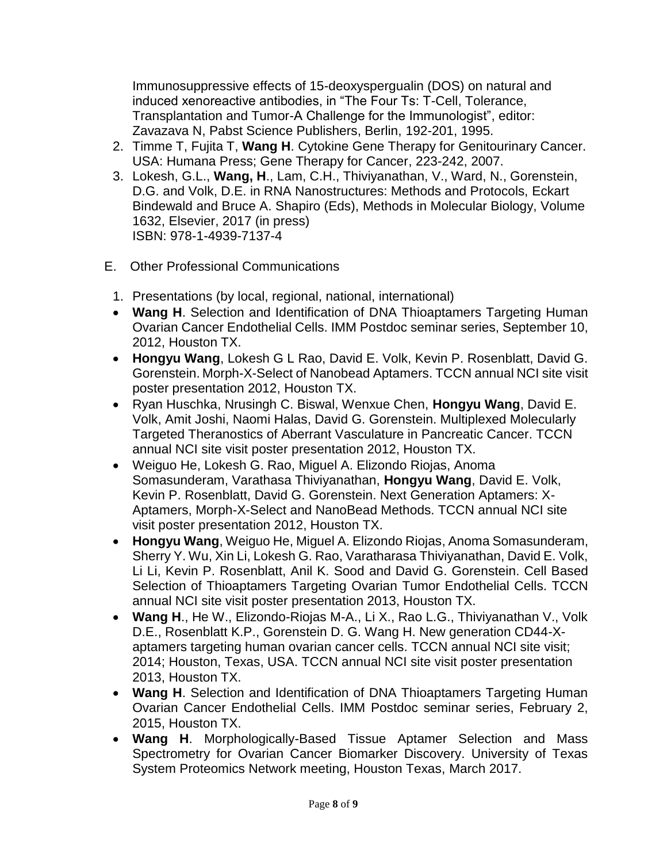Immunosuppressive effects of 15-deoxyspergualin (DOS) on natural and induced xenoreactive antibodies, in "The Four Ts: T-Cell, Tolerance, Transplantation and Tumor-A Challenge for the Immunologist", editor: Zavazava N, Pabst Science Publishers, Berlin, 192-201, 1995.

- 2. Timme T, Fujita T, **Wang H**. Cytokine Gene Therapy for Genitourinary Cancer. USA: Humana Press; Gene Therapy for Cancer, 223-242, 2007.
- 3. Lokesh, G.L., **Wang, H**., Lam, C.H., Thiviyanathan, V., Ward, N., Gorenstein, D.G. and Volk, D.E. in RNA Nanostructures: Methods and Protocols, Eckart Bindewald and Bruce A. Shapiro (Eds), Methods in Molecular Biology, Volume 1632, Elsevier, 2017 (in press) ISBN: 978-1-4939-7137-4
- E. Other Professional Communications
	- 1. Presentations (by local, regional, national, international)
	- **Wang H**. Selection and Identification of DNA Thioaptamers Targeting Human Ovarian Cancer Endothelial Cells. IMM Postdoc seminar series, September 10, 2012, Houston TX.
	- **Hongyu Wang**, Lokesh G L Rao, David E. Volk, Kevin P. Rosenblatt, David G. Gorenstein. Morph-X-Select of Nanobead Aptamers. TCCN annual NCI site visit poster presentation 2012, Houston TX.
	- Ryan Huschka, Nrusingh C. Biswal, Wenxue Chen, **Hongyu Wang**, David E. Volk, Amit Joshi, Naomi Halas, David G. Gorenstein. Multiplexed Molecularly Targeted Theranostics of Aberrant Vasculature in Pancreatic Cancer. TCCN annual NCI site visit poster presentation 2012, Houston TX.
	- Weiguo He, Lokesh G. Rao, Miguel A. Elizondo Riojas, Anoma Somasunderam, Varathasa Thiviyanathan, **Hongyu Wang**, David E. Volk, Kevin P. Rosenblatt, David G. Gorenstein. Next Generation Aptamers: X-Aptamers, Morph-X-Select and NanoBead Methods. TCCN annual NCI site visit poster presentation 2012, Houston TX.
	- **Hongyu Wang**, Weiguo He, Miguel A. Elizondo Riojas, Anoma Somasunderam, Sherry Y. Wu, Xin Li, Lokesh G. Rao, Varatharasa Thiviyanathan, David E. Volk, Li Li, Kevin P. Rosenblatt, Anil K. Sood and David G. Gorenstein. Cell Based Selection of Thioaptamers Targeting Ovarian Tumor Endothelial Cells. TCCN annual NCI site visit poster presentation 2013, Houston TX.
	- **Wang H**., He W., Elizondo-Riojas M-A., Li X., Rao L.G., Thiviyanathan V., Volk D.E., Rosenblatt K.P., Gorenstein D. G. Wang H. New generation CD44-Xaptamers targeting human ovarian cancer cells. TCCN annual NCI site visit; 2014; Houston, Texas, USA. TCCN annual NCI site visit poster presentation 2013, Houston TX.
	- **Wang H**. Selection and Identification of DNA Thioaptamers Targeting Human Ovarian Cancer Endothelial Cells. IMM Postdoc seminar series, February 2, 2015, Houston TX.
	- **Wang H**. Morphologically-Based Tissue Aptamer Selection and Mass Spectrometry for Ovarian Cancer Biomarker Discovery. University of Texas System Proteomics Network meeting, Houston Texas, March 2017.